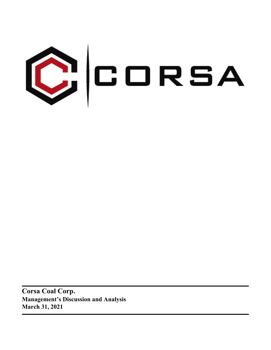

**Corsa Coal Corp. Management's Discussion and Analysis March 31, 2021**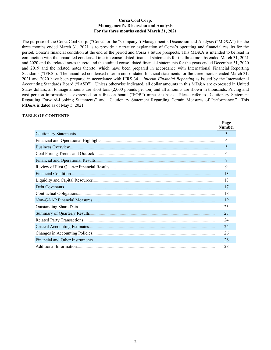### **Corsa Coal Corp. Management's Discussion and Analysis For the three months ended March 31, 2021**

The purpose of the Corsa Coal Corp. ("Corsa" or the "Company") Management's Discussion and Analysis ("MD&A") for the three months ended March 31, 2021 is to provide a narrative explanation of Corsa's operating and financial results for the period, Corsa's financial condition at the end of the period and Corsa's future prospects. This MD&A is intended to be read in conjunction with the unaudited condensed interim consolidated financial statements for the three months ended March 31, 2021 and 2020 and the related notes thereto and the audited consolidated financial statements for the years ended December 31, 2020 and 2019 and the related notes thereto, which have been prepared in accordance with International Financial Reporting Standards ("IFRS"). The unaudited condensed interim consolidated financial statements for the three months ended March 31, 2021 and 2020 have been prepared in accordance with IFRS 34 – *Interim Financial Reporting* as issued by the International Accounting Standards Board ("IASB"). Unless otherwise indicated, all dollar amounts in this MD&A are expressed in United States dollars, all tonnage amounts are short tons (2,000 pounds per ton) and all amounts are shown in thousands. Pricing and cost per ton information is expressed on a free on board ("FOB") mine site basis. Please refer to "Cautionary Statement Regarding Forward-Looking Statements" and "Cautionary Statement Regarding Certain Measures of Performance." This MD&A is dated as of May 5, 2021.

### **TABLE OF CONTENTS**

|                                 | Page<br><b>Number</b> |
|---------------------------------|-----------------------|
| Cautionary Statements.          | 3                     |
|                                 | 4                     |
|                                 | 5                     |
|                                 | 6                     |
|                                 | 7                     |
|                                 | 9                     |
| Financial Condition.            | 13                    |
|                                 | 13                    |
| Debt Covenants                  | 17                    |
|                                 | 18                    |
|                                 | 19                    |
|                                 | 23                    |
|                                 | 23                    |
|                                 | 24                    |
|                                 | 24                    |
|                                 | 26                    |
| Financial and Other Instruments | 26                    |
| Additional Information.         | 28                    |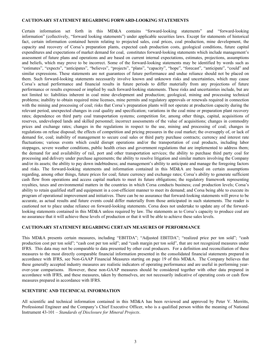#### <span id="page-2-0"></span>**CAUTIONARY STATEMENT REGARDING FORWARD-LOOKING STATEMENTS**

Certain information set forth in this MD&A contains "forward-looking statements" and "forward-looking information" (collectively, "forward looking statements") under applicable securities laws. Except for statements of historical fact, certain information contained herein relating to projected sales, coal prices, coal production, mine development, the capacity and recovery of Corsa's preparation plants, expected cash production costs, geological conditions, future capital expenditures and expectations of market demand for coal, constitutes forward-looking statements which include management's assessment of future plans and operations and are based on current internal expectations, estimates, projections, assumptions and beliefs, which may prove to be incorrect. Some of the forward-looking statements may be identified by words such as "estimates", "expects", "anticipates", "believes", "projects", "plans", "capacity", "hope", "forecast", "anticipate", "could" and similar expressions. These statements are not guarantees of future performance and undue reliance should not be placed on them. Such forward-looking statements necessarily involve known and unknown risks and uncertainties, which may cause Corsa's actual performance and financial results in future periods to differ materially from any projections of future performance or results expressed or implied by such forward-looking statements. These risks and uncertainties include, but are not limited to: liabilities inherent in coal mine development and production; geological, mining and processing technical problems; inability to obtain required mine licenses, mine permits and regulatory approvals or renewals required in connection with the mining and processing of coal; risks that Corsa's preparation plants will not operate at production capacity during the relevant period, unexpected changes in coal quality and specification; variations in the coal mine or preparation plant recovery rates; dependence on third party coal transportation systems; competition for, among other things, capital, acquisitions of reserves, undeveloped lands and skilled personnel; incorrect assessments of the value of acquisitions; changes in commodity prices and exchange rates; changes in the regulations in respect to the use, mining and processing of coal; changes in regulations on refuse disposal; the effects of competition and pricing pressures in the coal market; the oversupply of, or lack of demand for, coal; inability of management to secure coal sales or third party purchase contracts; currency and interest rate fluctuations; various events which could disrupt operations and/or the transportation of coal products, including labor stoppages, severe weather conditions, public health crises and government regulations that are implemented to address them; the demand for and availability of rail, port and other transportation services; the ability to purchase third party coal for processing and delivery under purchase agreements; the ability to resolve litigation and similar matters involving the Company and/or its assets; the ability to pay down indebtedness; and management's ability to anticipate and manage the foregoing factors and risks. The forward-looking statements and information contained in this MD&A are based on certain assumptions regarding, among other things, future prices for coal; future currency and exchange rates; Corsa's ability to generate sufficient cash flow from operations and access capital markets to meet its future obligations; the regulatory framework representing royalties, taxes and environmental matters in the countries in which Corsa conducts business; coal production levels; Corsa's ability to retain qualified staff and equipment in a cost-efficient manner to meet its demand; and Corsa being able to execute its program of operational improvement and initiatives. There can be no assurance that forward-looking statements will prove to be accurate, as actual results and future events could differ materially from those anticipated in such statements. The reader is cautioned not to place undue reliance on forward-looking statements. Corsa does not undertake to update any of the forwardlooking statements contained in this MD&A unless required by law. The statements as to Corsa's capacity to produce coal are no assurance that it will achieve these levels of production or that it will be able to achieve these sales levels.

# **CAUTIONARY STATEMENT REGARDING CERTAIN MEASURES OF PERFORMANCE**

This MD&A presents certain measures, including "EBITDA"; "Adjusted EBITDA"; "realized price per ton sold"; "cash production cost per ton sold"; "cash cost per ton sold"; and "cash margin per ton sold", that are not recognized measures under IFRS. This data may not be comparable to data presented by other coal producers. For a definition and reconciliation of these measures to the most directly comparable financial information presented in the consolidated financial statements prepared in accordance with IFRS, see Non-GAAP Financial Measures starting on page 19 of this MD&A. The Company believes that these generally accepted industry measures are realistic indicators of operating performance and are useful in performing yearover-year comparisons. However, these non-GAAP measures should be considered together with other data prepared in accordance with IFRS, and these measures, taken by themselves, are not necessarily indicative of operating costs or cash flow measures prepared in accordance with IFRS.

#### **SCIENTIFIC AND TECHNICAL INFORMATION**

All scientific and technical information contained in this MD&A has been reviewed and approved by Peter V. Merritts, Professional Engineer and the Company's Chief Executive Officer, who is a qualified person within the meaning of National Instrument 43-101 – *Standards of Disclosure for Mineral Projects*.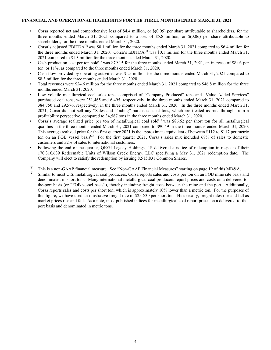### <span id="page-3-0"></span>**FINANCIAL AND OPERATIONAL HIGHLIGHTS FOR THE THREE MONTHS ENDED MARCH 31, 2021**

- Corsa reported net and comprehensive loss of \$4.4 million, or \$(0.05) per share attributable to shareholders, for the three months ended March 31, 2021 compared to a loss of \$5.8 million, or \$(0.06) per share attributable to shareholders, for the three months ended March 31, 2020.
- Corsa's adjusted EBITDA<sup>(1)</sup> was \$0.1 million for the three months ended March 31, 2021 compared to \$6.4 million for the three months ended March 31, 2020. Corsa's EBITDA<sup>(1)</sup> was \$0.1 million for the three months ended March 31, 2021 compared to \$1.3 million for the three months ended March 31, 2020.
- Cash production cost per ton sold<sup>(1)</sup> was \$79.15 for the three months ended March 31, 2021, an increase of \$8.03 per ton, or 11%, as compared to the three months ended March 31, 2020.
- Cash flow provided by operating activities was \$1.5 million for the three months ended March 31, 2021 compared to \$8.3 million for the three months ended March 31, 2020.
- Total revenues were \$24.6 million for the three months ended March 31, 2021 compared to \$46.8 million for the three months ended March 31, 2020.
- Low volatile metallurgical coal sales tons, comprised of "Company Produced" tons and "Value Added Services" purchased coal tons, were 251,465 and 6,495, respectively, in the three months ended March 31, 2021 compared to 384,750 and 29,576, respectively, in the three months ended March 31, 2020. In the three months ended March 31, 2021, Corsa did not sell any "Sales and Trading" purchased coal tons, which are treated as pass-through from a profitability perspective, compared to 34,587 tons in the three months ended March 31, 2020.
- Corsa's average realized price per ton of metallurgical coal sold $^{(1)}$  was \$86.62 per short ton for all metallurgical qualities in the three months ended March 31, 2021 compared to \$90.49 in the three months ended March 31, 2020. This average realized price for the first quarter 2021 is the approximate equivalent of between \$112 to \$117 per metric ton on an FOB vessel basis<sup>(2)</sup>. For the first quarter 2021, Corsa's sales mix included 68% of sales to domestic customers and 32% of sales to international customers.
- Following the end of the quarter, QKGI Legacy Holdings, LP delivered a notice of redemption in respect of their 170,316,639 Redeemable Units of Wilson Creek Energy, LLC specifying a May 31, 2021 redemption date. The Company will elect to satisfy the redemption by issuing 8,515,831 Common Shares.
- (1) This is a non-GAAP financial measure. See "Non-GAAP Financial Measures" starting on page 19 of this MD&A.

Similar to most U.S. metallurgical coal producers, Corsa reports sales and costs per ton on an FOB mine site basis and denominated in short tons. Many international metallurgical coal producers report prices and costs on a delivered-tothe-port basis (or "FOB vessel basis"), thereby including freight costs between the mine and the port. Additionally, Corsa reports sales and costs per short ton, which is approximately 10% lower than a metric ton. For the purposes of this figure, we have used an illustrative freight rate of \$25-\$30 per short ton. Historically, freight rates rise and fall as market prices rise and fall. As a note, most published indices for metallurgical coal report prices on a delivered-to-theport basis and denominated in metric tons.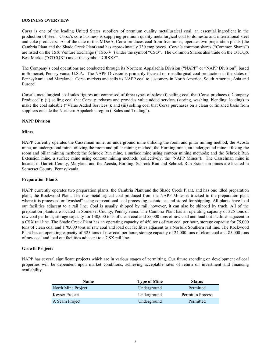### <span id="page-4-0"></span>**BUSINESS OVERVIEW**

Corsa is one of the leading United States suppliers of premium quality metallurgical coal, an essential ingredient in the production of steel. Corsa's core business is supplying premium quality metallurgical coal to domestic and international steel and coke producers. As of the date of this MD&A, Corsa produces coal from five mines, operates two preparation plants (the Cambria Plant and the Shade Creek Plant) and has approximately 330 employees. Corsa's common shares ("Common Shares") are listed on the TSX Venture Exchange ("TSX-V") under the symbol "CSO". The Common Shares also trade on the OTCQX Best Market ("OTCQX") under the symbol "CRSXF".

The Company's coal operations are conducted through its Northern Appalachia Division ("NAPP" or "NAPP Division") based in Somerset, Pennsylvania, U.S.A. The NAPP Division is primarily focused on metallurgical coal production in the states of Pennsylvania and Maryland. Corsa markets and sells its NAPP coal to customers in North America, South America, Asia and Europe.

Corsa's metallurgical coal sales figures are comprised of three types of sales: (i) selling coal that Corsa produces ("Company Produced"); (ii) selling coal that Corsa purchases and provides value added services (storing, washing, blending, loading) to make the coal saleable ("Value Added Services"); and (iii) selling coal that Corsa purchases on a clean or finished basis from suppliers outside the Northern Appalachia region ("Sales and Trading").

### **NAPP Division**

#### **Mines**

NAPP currently operates the Casselman mine, an underground mine utilizing the room and pillar mining method; the Acosta mine, an underground mine utilizing the room and pillar mining method; the Horning mine, an underground mine utilizing the room and pillar mining method; the Schrock Run mine, a surface mine using contour mining methods; and the Schrock Run Extension mine, a surface mine using contour mining methods (collectively, the "NAPP Mines"). The Casselman mine is located in Garrett County, Maryland and the Acosta, Horning, Schrock Run and Schrock Run Extension mines are located in Somerset County, Pennsylvania.

#### **Preparation Plants**

NAPP currently operates two preparation plants, the Cambria Plant and the Shade Creek Plant, and has one idled preparation plant, the Rockwood Plant. The raw metallurgical coal produced from the NAPP Mines is trucked to the preparation plant where it is processed or "washed" using conventional coal processing techniques and stored for shipping. All plants have load out facilities adjacent to a rail line. Coal is usually shipped by rail; however, it can also be shipped by truck. All of the preparation plants are located in Somerset County, Pennsylvania. The Cambria Plant has an operating capacity of 325 tons of raw coal per hour, storage capacity for 130,000 tons of clean coal and 55,000 tons of raw coal and load out facilities adjacent to a CSX rail line. The Shade Creek Plant has an operating capacity of 450 tons of raw coal per hour, storage capacity for 75,000 tons of clean coal and 170,000 tons of raw coal and load out facilities adjacent to a Norfolk Southern rail line. The Rockwood Plant has an operating capacity of 325 tons of raw coal per hour, storage capacity of 24,000 tons of clean coal and 85,000 tons of raw coal and load out facilities adjacent to a CSX rail line.

# **Growth Projects**

NAPP has several significant projects which are in various stages of permitting. Our future spending on development of coal properties will be dependent upon market conditions, achieving acceptable rates of return on investment and financing availability.

| <b>Name</b>        | <b>Type of Mine</b> | <b>Status</b>     |
|--------------------|---------------------|-------------------|
| North Mine Project | Underground         | Permitted         |
| Keyser Project     | Underground         | Permit in Process |
| A Seam Project     | Underground         | Permitted         |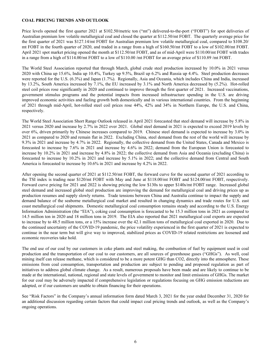# <span id="page-5-0"></span>**COAL PRICING TRENDS AND OUTLOOK**

Price levels opened the first quarter 2021 at \$102.50/metric ton ("mt") delivered-to-the-port ("FOBT") for spot deliveries of Australian premium low volatile metallurgical coal and closed the quarter at \$112.50/mt FOBT. The quarterly average price for the first quarter of 2021 was \$127.14/mt FOBT for Australian premium low volatile metallurgical coal, compared to \$108.20/ mt FOBT in the fourth quarter of 2020, and traded in a range from a high of \$160.50/mt FOBT to a low of \$102.00/mt FOBT. April 2021 spot market pricing opened the month at \$112.50/mt FOBT, and as of mid-April were \$110.00/mt FOBT with trades in a range from a high of \$114.00/mt FOBT to a low of \$110.00 /mt FOBT for an average price of \$110.89 /mt FOBT.

The World Steel Association reported that through March, global crude steel production increased by 10.0% in 2021 versus 2020 with China up 15.6%, India up 10.4%, Turkey up 9.5%, Brazil up 6.2% and Russia up 4.4%. Steel production decreases were reported for the U.S. (6.3%) and Japan (1.7%). Regionally, Asia and Oceania, which includes China and India, increased by 13.2%, South America increased by 7.1%, the EU increased by 3.1% and North America decreased by (5.2%). Hot-rolled steel coil prices rose significantly in 2020 and continued to improve through the first quarter of 2021. Increased vaccinations, government stimulus programs and the potential impacts from increased infrastructure spending in the U.S. are driving improved economic activities and fueling growth both domestically and in various international countries. From the beginning of 2021 through mid-April, hot-rolled steel coil prices rose 44%, 42% and 34% in Northern Europe, the U.S. and China, respectively.

The World Steel Association Short Range Outlook released in April 2021 forecasted that steel demand will increase by 5.8% in 2021 versus 2020 and increase by 2.7% in 2022 over 2021. Global steel demand in 2021 is expected to exceed 2019 levels by over 6%, driven primarily by Chinese increases compared to 2019. Chinese steel demand is expected to increase by 3.0% in 2021 as compared to 2020 and remain flat in 2022. Excluding China, steel demand from the rest of the world will increase by 9.3% in 2021 and increase by 4.7% in 2022. Regionally, the collective demand from the United States, Canada and Mexico is forecasted to increase by 7.6% in 2021 and increase by 4.6% in 2022; demand from the European Union is forecasted to increase by 10.2% in 2021 and increase by 4.8% in 2022; the collective demand from Asia and Oceania (excluding China) is forecasted to increase by 10.2% in 2021 and increase by 5.1% in 2022; and the collective demand from Central and South America is forecasted to increase by 10.6% in 2021 and increase by 4.2% in 2022.

After opening the second quarter of 2021 at \$112.50/mt FOBT, the forward curve for the second quarter of 2021 according to the TSI index is trading near \$120/mt FOBT with May and June at \$118.00/mt FOBT and \$124.00/mt FOBT, respectively. Forward curve pricing for 2021 and 2022 is showing pricing the low \$130s to upper \$140s/mt FOBT range. Increased global steel demand and increased global steel production are improving the demand for metallurgical coal and driving prices up as production resumes and supply slowly returns. Trade tensions between China and Australia continue to impact the supply and demand balance of the seaborne metallurgical coal market and resulted in changing dynamics and trade routes for U.S. east coast metallurgical coal shipments. Domestic metallurgical coal consumption remains steady and according to the U.S. Energy Information Administration (the "EIA"), coking coal consumption is forecasted to be 15.3 million tons in 2021 as compared to 14.5 million ton in 2020 and 18 million tons in 2019. The EIA also reported that 2021 metallurgical coal exports are expected to increase by to 48.5 million tons, or a 15% increase over the 42.1 million tons of metallurgical coal exported in 2020. Due to the continued uncertainty of the COVID-19 pandemic, the price volatility experienced in the first quarter of 2021 is expected to continue in the near term but will give way to improved, stabilized prices as COVID-19 related restrictions are loosened and economic recoveries take hold.

The end use of our coal by our customers in coke plants and steel making, the combustion of fuel by equipment used in coal production and the transportation of our coal to our customers, are all sources of greenhouse gases ("GHGs"). As well, coal mining itself can release methane, which is considered to be a more potent GHG than CO2, directly into the atmosphere. These emissions from coal consumption, transportation and production are subject to pending and proposed regulation as part of initiatives to address global climate change. As a result, numerous proposals have been made and are likely to continue to be made at the international, national, regional and state levels of government to monitor and limit emissions of GHGs. The market for our coal may be adversely impacted if comprehensive legislation or regulations focusing on GHG emission reductions are adopted, or if our customers are unable to obtain financing for their operations.

See "Risk Factors" in the Company's annual information form dated March 3, 2021 for the year ended December 31, 2020 for an additional discussion regarding certain factors that could impact coal pricing trends and outlook, as well as the Company's ongoing operations.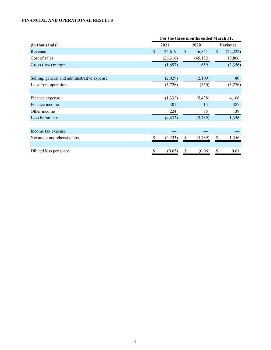# <span id="page-6-0"></span>**FINANCIAL AND OPERATIONAL RESULTS**

|                                             | For the three months ended March 31, |          |               |           |               |           |  |  |      |  |          |
|---------------------------------------------|--------------------------------------|----------|---------------|-----------|---------------|-----------|--|--|------|--|----------|
| (in thousands)                              | 2021                                 |          |               |           |               |           |  |  | 2020 |  | Variance |
| Revenue                                     | $\mathcal{S}$                        | 24,619   | $\mathsf{\$}$ | 46,841    | $\mathsf{\$}$ | (22, 222) |  |  |      |  |          |
| Cost of sales                               |                                      | (26,316) |               | (45, 182) |               | 18,866    |  |  |      |  |          |
| Gross (loss) margin                         |                                      | (1,697)  |               | 1,659     |               | (3,356)   |  |  |      |  |          |
|                                             |                                      |          |               |           |               |           |  |  |      |  |          |
| Selling, general and administrative expense |                                      | (2,029)  |               | (2,109)   |               | 80        |  |  |      |  |          |
| Loss from operations                        |                                      | (3,726)  |               | (450)     |               | (3,276)   |  |  |      |  |          |
|                                             |                                      |          |               |           |               |           |  |  |      |  |          |
| Finance expense                             |                                      | (1, 332) |               | (5, 438)  |               | 4,106     |  |  |      |  |          |
| Finance income                              |                                      | 401      |               | 14        |               | 387       |  |  |      |  |          |
| Other income                                |                                      | 224      |               | 85        |               | 139       |  |  |      |  |          |
| Loss before tax                             |                                      | (4, 433) |               | (5,789)   |               | 1,356     |  |  |      |  |          |
|                                             |                                      |          |               |           |               |           |  |  |      |  |          |
| Income tax expense                          |                                      |          |               |           |               |           |  |  |      |  |          |
| Net and comprehensive loss                  |                                      | (4, 433) | <sup>\$</sup> | (5,789)   | \$            | 1,356     |  |  |      |  |          |
|                                             |                                      |          |               |           |               |           |  |  |      |  |          |
| Diluted loss per share                      | \$                                   | (0.05)   | \$            | (0.06)    | \$            | 0.01      |  |  |      |  |          |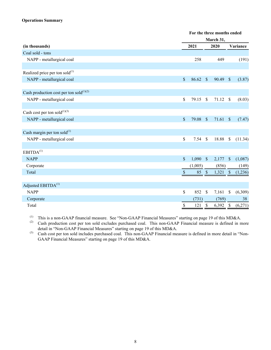# **Operations Summary**

|                                               |               | For the three months ended |                           |            |                          |  |  |
|-----------------------------------------------|---------------|----------------------------|---------------------------|------------|--------------------------|--|--|
|                                               |               |                            | March 31,                 |            |                          |  |  |
| (in thousands)                                |               | 2021                       |                           | 2020       | Variance                 |  |  |
| Coal sold - tons                              |               |                            |                           |            |                          |  |  |
| NAPP - metallurgical coal                     |               | 258                        |                           | 449        | (191)                    |  |  |
|                                               |               |                            |                           |            |                          |  |  |
| Realized price per ton sold $^{(1)}$          |               |                            |                           |            |                          |  |  |
| NAPP - metallurgical coal                     | $\mathcal{S}$ | 86.62                      | $\mathcal{S}$             | 90.49      | $\mathbb{S}$<br>(3.87)   |  |  |
|                                               |               |                            |                           |            |                          |  |  |
| Cash production cost per ton sold $^{(1)(2)}$ |               |                            |                           |            |                          |  |  |
| NAPP - metallurgical coal                     | $\mathsf{\$}$ | 79.15                      | $\mathcal{S}$             | 71.12      | $\mathcal{S}$<br>(8.03)  |  |  |
|                                               |               |                            |                           |            |                          |  |  |
| Cash cost per ton sold $^{(1)(3)}$            |               |                            |                           |            |                          |  |  |
| NAPP - metallurgical coal                     | $\mathcal{S}$ | 79.08                      | $\sqrt{\frac{2}{5}}$      | 71.61      | $\sqrt{3}$<br>(7.47)     |  |  |
|                                               |               |                            |                           |            |                          |  |  |
| Cash margin per ton sold $^{(1)}$             |               |                            |                           |            |                          |  |  |
| NAPP - metallurgical coal                     | \$            | 7.54                       | $\mathcal{S}$             | 18.88      | $\mathbb S$<br>(11.34)   |  |  |
|                                               |               |                            |                           |            |                          |  |  |
| EBITDA <sup>(1)</sup>                         |               |                            |                           |            |                          |  |  |
| <b>NAPP</b>                                   | $\mathsf{\$}$ | 1,090                      | $\sqrt{S}$                | 2,177      | $\mathcal{S}$<br>(1,087) |  |  |
| Corporate                                     |               | (1,005)                    |                           | (856)      | (149)                    |  |  |
| Total                                         | \$            | 85                         | $\mathcal{S}$             | $1,321$ \$ | (1,236)                  |  |  |
|                                               |               |                            |                           |            |                          |  |  |
| Adjusted EBITDA <sup>(1)</sup>                |               |                            |                           |            |                          |  |  |
| <b>NAPP</b>                                   | $\mathsf{\$}$ | 852                        | $\mathcal{S}$             | 7,161      | \$<br>(6,309)            |  |  |
| Corporate                                     |               | (731)                      |                           | (769)      | 38                       |  |  |
| Total                                         | $\$$          | 121                        | $\boldsymbol{\mathsf{S}}$ | 6,392      | $\mathcal{S}$<br>(6,271) |  |  |

(1) This is a non-GAAP financial measure. See "Non-GAAP Financial Measures" starting on page 19 of this MD&A.

(2) Cash production cost per ton sold excludes purchased coal. This non-GAAP Financial measure is defined in more detail in "Non-GAAP Financial Measures" starting on page 19 of this MD&A.

(3) Cash cost per ton sold includes purchased coal. This non-GAAP Financial measure is defined in more detail in "Non-GAAP Financial Measures" starting on page 19 of this MD&A.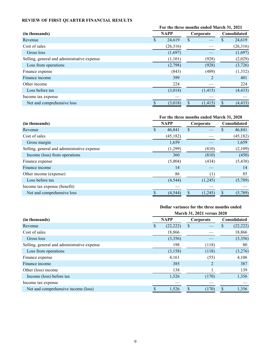# <span id="page-8-0"></span>**REVIEW OF FIRST QUARTER FINANCIAL RESULTS**

|                                             | For the three months ended March 31, 2021 |             |           |                |                     |          |
|---------------------------------------------|-------------------------------------------|-------------|-----------|----------------|---------------------|----------|
| (in thousands)                              |                                           | <b>NAPP</b> | Corporate |                | <b>Consolidated</b> |          |
| Revenue                                     | S                                         | 24,619      | \$        |                | \$                  | 24,619   |
| Cost of sales                               |                                           | (26,316)    |           |                |                     | (26,316) |
| Gross loss                                  |                                           | (1,697)     |           |                |                     | (1,697)  |
| Selling, general and administrative expense |                                           | (1,101)     |           | (928)          |                     | (2,029)  |
| Loss from operations                        |                                           | (2,798)     |           | (928)          |                     | (3,726)  |
| Finance expense                             |                                           | (843)       |           | (489)          |                     | (1, 332) |
| Finance income                              |                                           | 399         |           | $\overline{2}$ |                     | 401      |
| Other income                                |                                           | 224         |           |                |                     | 224      |
| Loss before tax                             |                                           | (3,018)     |           | (1, 415)       |                     | (4, 433) |
| Income tax expense                          |                                           |             |           |                |                     |          |
| Net and comprehensive loss                  |                                           | (3,018)     |           | (1, 415)       | \$.                 | (4, 433) |

|                                             | For the three months ended March 31, 2020 |                          |    |         |                     |           |  |
|---------------------------------------------|-------------------------------------------|--------------------------|----|---------|---------------------|-----------|--|
| (in thousands)                              |                                           | <b>NAPP</b><br>Corporate |    |         | <b>Consolidated</b> |           |  |
| Revenue                                     | \$.                                       | 46,841                   | \$ |         |                     | 46,841    |  |
| Cost of sales                               |                                           | (45, 182)                |    |         |                     | (45, 182) |  |
| Gross margin                                |                                           | 1,659                    |    |         |                     | 1,659     |  |
| Selling, general and administrative expense |                                           | (1,299)                  |    | (810)   |                     | (2,109)   |  |
| Income (loss) from operations               |                                           | <b>360</b>               |    | (810)   |                     | (450)     |  |
| Finance expense                             |                                           | (5,004)                  |    | (434)   |                     | (5, 438)  |  |
| Finance income                              |                                           | 14                       |    |         |                     | 14        |  |
| Other income (expense)                      |                                           | 86                       |    | (1)     |                     | 85        |  |
| Loss before tax                             |                                           | (4, 544)                 |    | (1,245) |                     | (5,789)   |  |
| Income tax expense (benefit)                |                                           |                          |    |         |                     |           |  |
| Net and comprehensive loss                  |                                           | (4, 544)                 |    | (1,245) | <sup>\$</sup>       | (5,789)   |  |

# **Dollar variance for the three months ended**

|                                             | March 31, 2021 versus 2020 |           |    |                |    |                     |
|---------------------------------------------|----------------------------|-----------|----|----------------|----|---------------------|
| (in thousands)                              | <b>NAPP</b>                |           |    | Corporate      |    | <b>Consolidated</b> |
| Revenue                                     | \$                         | (22, 222) | \$ |                | \$ | (22, 222)           |
| Cost of sales                               |                            | 18,866    |    |                |    | 18,866              |
| Gross loss                                  |                            | (3,356)   |    |                |    | (3,356)             |
| Selling, general and administrative expense |                            | 198       |    | (118)          |    | 80                  |
| Loss from operations                        |                            | (3, 158)  |    | (118)          |    | (3,276)             |
| Finance expense                             |                            | 4,161     |    | (55)           |    | 4,106               |
| Finance income                              |                            | 385       |    | $\overline{2}$ |    | 387                 |
| Other (loss) income                         |                            | 138       |    |                |    | 139                 |
| Income (loss) before tax                    |                            | 1,526     |    | (170)          |    | 1,356               |
| Income tax expense                          |                            |           |    |                |    |                     |
| Net and comprehensive income (loss)         |                            | 1,526     |    | (170)          | \$ | 1,356               |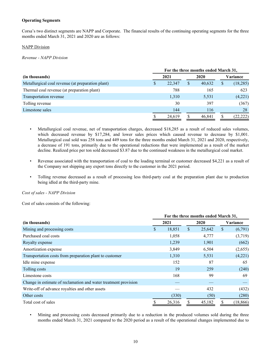# **Operating Segments**

Corsa's two distinct segments are NAPP and Corporate. The financial results of the continuing operating segments for the three months ended March 31, 2021 and 2020 are as follows:

### NAPP Division

*Revenue - NAPP Division*

|                                                   | For the three months ended March 31, |        |   |        |    |           |  |  |  |
|---------------------------------------------------|--------------------------------------|--------|---|--------|----|-----------|--|--|--|
| (in thousands)                                    |                                      | 2021   |   | 2020   |    | Variance  |  |  |  |
| Metallurgical coal revenue (at preparation plant) | S                                    | 22.347 | S | 40.632 | \$ | (18, 285) |  |  |  |
| Thermal coal revenue (at preparation plant)       |                                      | 788    |   | 165    |    | 623       |  |  |  |
| Transportation revenue                            |                                      | 1,310  |   | 5,531  |    | (4,221)   |  |  |  |
| Tolling revenue                                   |                                      | 30     |   | 397    |    | (367)     |  |  |  |
| Limestone sales                                   |                                      | 144    |   | 116    |    | 28        |  |  |  |
|                                                   |                                      | 24,619 |   | 46,841 |    | (22, 222) |  |  |  |

- Metallurgical coal revenue, net of transportation charges, decreased \$18,285 as a result of reduced sales volumes, which decreased revenue by \$17,284, and lower sales prices which caused revenue to decrease by \$1,001. Metallurgical coal sold was 258 tons and 449 tons for the three months ended March 31, 2021 and 2020, respectively, a decrease of 191 tons, primarily due to the operational reductions that were implemented as a result of the market decline. Realized price per ton sold decreased \$3.87 due to the continued weakness in the metallurgical coal market.
- Revenue associated with the transportation of coal to the loading terminal or customer decreased \$4,221 as a result of the Company not shipping any export tons directly to the customer in the 2021 period.
- Tolling revenue decreased as a result of processing less third-party coal at the preparation plant due to production being idled at the third-party mine.

*Cost of sales - NAPP Division*

Cost of sales consists of the following:

|                                                                 | For the three months ended March 31, |        |      |        |    |           |  |  |  |
|-----------------------------------------------------------------|--------------------------------------|--------|------|--------|----|-----------|--|--|--|
| (in thousands)                                                  |                                      | 2021   | 2020 |        |    | Variance  |  |  |  |
| Mining and processing costs                                     | \$                                   | 18,851 | S    | 25,642 | \$ | (6,791)   |  |  |  |
| Purchased coal costs                                            |                                      | 1,058  |      | 4,777  |    | (3,719)   |  |  |  |
| Royalty expense                                                 |                                      | 1,239  |      | 1,901  |    | (662)     |  |  |  |
| Amortization expense                                            |                                      | 3,849  |      | 6,504  |    | (2,655)   |  |  |  |
| Transportation costs from preparation plant to customer         |                                      | 1,310  |      | 5,531  |    | (4,221)   |  |  |  |
| Idle mine expense                                               |                                      | 152    |      | 87     |    | 65        |  |  |  |
| Tolling costs                                                   |                                      | 19     |      | 259    |    | (240)     |  |  |  |
| Limestone costs                                                 |                                      | 168    |      | 99     |    | 69        |  |  |  |
| Change in estimate of reclamation and water treatment provision |                                      |        |      |        |    |           |  |  |  |
| Write-off of advance royalties and other assets                 |                                      |        |      | 432    |    | (432)     |  |  |  |
| Other costs                                                     |                                      | (330)  |      | (50)   |    | (280)     |  |  |  |
| Total cost of sales                                             | S                                    | 26,316 | \$   | 45,182 | S. | (18, 866) |  |  |  |

• Mining and processing costs decreased primarily due to a reduction in the produced volumes sold during the three months ended March 31, 2021 compared to the 2020 period as a result of the operational changes implemented due to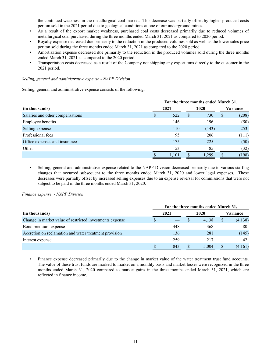the continued weakness in the metallurgical coal market. This decrease was partially offset by higher produced costs per ton sold in the 2021 period due to geological conditions at one of our underground mines.

- As a result of the export market weakness, purchased coal costs decreased primarily due to reduced volumes of metallurgical coal purchased during the three months ended March 31, 2021 as compared to 2020 period.
- Royalty expense decreased due primarily to the reduction in the produced volumes sold as well as the lower sales price per ton sold during the three months ended March 31, 2021 as compared to the 2020 period.
- Amortization expense decreased due primarily to the reduction in the produced volumes sold during the three months ended March 31, 2021 as compared to the 2020 period.
- Transportation costs decreased as a result of the Company not shipping any export tons directly to the customer in the 2021 period.

### *Selling, general and administrative expense - NAPP Division*

Selling, general and administrative expense consists of the following:

|                                  | For the three months ended March 31, |       |              |       |          |       |  |  |
|----------------------------------|--------------------------------------|-------|--------------|-------|----------|-------|--|--|
| (in thousands)                   |                                      | 2021  | 2020         |       | Variance |       |  |  |
| Salaries and other compensations |                                      | 522   | <sup>S</sup> | 730   | \$       | (208) |  |  |
| Employee benefits                |                                      | 146   |              | 196   |          | (50)  |  |  |
| Selling expense                  |                                      | 110   |              | (143) |          | 253   |  |  |
| Professional fees                |                                      | 95    |              | 206   |          | (111) |  |  |
| Office expenses and insurance    |                                      | 175   |              | 225   |          | (50)  |  |  |
| Other                            |                                      | 53    |              | 85    |          | (32)  |  |  |
|                                  |                                      | 1,101 |              | 1.299 |          | (198) |  |  |

• Selling, general and administrative expense related to the NAPP Division decreased primarily due to various staffing changes that occurred subsequent to the three months ended March 31, 2020 and lower legal expenses. These decreases were partially offset by increased selling expenses due to an expense reversal for commissions that were not subject to be paid in the three months ended March 31, 2020.

*Finance expense - NAPP Division*

|                                                          | For the three months ended March 31, |      |  |       |    |                 |  |  |
|----------------------------------------------------------|--------------------------------------|------|--|-------|----|-----------------|--|--|
| (in thousands)                                           |                                      | 2021 |  | 2020  |    | <b>Variance</b> |  |  |
| Change in market value of restricted investments expense |                                      |      |  | 4,138 | \$ | (4,138)         |  |  |
| Bond premium expense                                     |                                      | 448  |  | 368   |    | 80              |  |  |
| Accretion on reclamation and water treatment provision   |                                      | 136  |  | 281   |    | (145)           |  |  |
| Interest expense                                         |                                      | 259  |  | 217   |    | 42              |  |  |
|                                                          |                                      | 843  |  | 5,004 |    | (4,161)         |  |  |

Finance expense decreased primarily due to the change in market value of the water treatment trust fund accounts. The value of these trust funds are marked to market on a monthly basis and market losses were recognized in the three months ended March 31, 2020 compared to market gains in the three months ended March 31, 2021, which are reflected in finance income.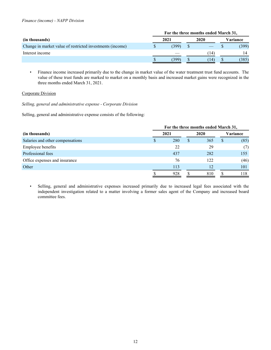|                                                           | For the three months ended March 31, |       |  |      |   |          |
|-----------------------------------------------------------|--------------------------------------|-------|--|------|---|----------|
| (in thousands)                                            |                                      | 2021  |  | 2020 |   | Variance |
| Change in market value of restricted investments (income) |                                      | (399) |  |      |   | (399)    |
| Interest income                                           |                                      |       |  | 14   |   | 14       |
|                                                           |                                      | 399   |  | 14   | D | (385)    |

• Finance income increased primarily due to the change in market value of the water treatment trust fund accounts. The value of these trust funds are marked to market on a monthly basis and increased market gains were recognized in the three months ended March 31, 2021.

# Corporate Division

*Selling, general and administrative expense - Corporate Division*

Selling, general and administrative expense consists of the following:

|                                  |   | For the three months ended March 31, |   |      |              |          |  |  |  |  |  |  |
|----------------------------------|---|--------------------------------------|---|------|--------------|----------|--|--|--|--|--|--|
| (in thousands)                   |   | 2021                                 |   | 2020 |              | Variance |  |  |  |  |  |  |
| Salaries and other compensations | S | 280                                  | S | 365  | <sup>S</sup> | (85)     |  |  |  |  |  |  |
| Employee benefits                |   | 22                                   |   | 29   |              | (7)      |  |  |  |  |  |  |
| Professional fees                |   | 437                                  |   | 282  |              | 155      |  |  |  |  |  |  |
| Office expenses and insurance    |   | 76                                   |   | 122  |              | (46)     |  |  |  |  |  |  |
| Other                            |   | 113                                  |   | 12   |              | 101      |  |  |  |  |  |  |
|                                  |   | 928                                  |   | 810  |              | 118      |  |  |  |  |  |  |

• Selling, general and administrative expenses increased primarily due to increased legal fees associated with the independent investigation related to a matter involving a former sales agent of the Company and increased board committee fees.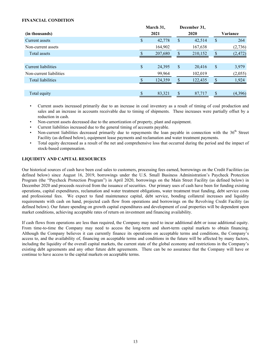# <span id="page-12-0"></span>**FINANCIAL CONDITION**

|                          |    | March 31, |                           | December 31, |                |
|--------------------------|----|-----------|---------------------------|--------------|----------------|
| (in thousands)           |    | 2021      |                           | 2020         | Variance       |
| Current assets           | \$ | 42,778    | \$                        | 42,514       | \$<br>264      |
| Non-current assets       |    | 164,902   |                           | 167,638      | (2,736)        |
| Total assets             |    | 207,680   | \$.                       | 210,152      | \$<br>(2, 472) |
|                          |    |           |                           |              |                |
| Current liabilities      | \$ | 24,395    | $\boldsymbol{\mathsf{S}}$ | 20,416       | \$<br>3,979    |
| Non-current liabilities  |    | 99,964    |                           | 102,019      | (2,055)        |
| <b>Total liabilities</b> |    | 124,359   | $\mathcal{S}$             | 122,435      | \$<br>1,924    |
|                          |    |           |                           |              |                |
| Total equity             |    | 83,321    |                           | 87,717       | \$<br>(4,396)  |

- Current assets increased primarily due to an increase in coal inventory as a result of timing of coal production and sales and an increase in accounts receivable due to timing of shipments. These increases were partially offset by a reduction in cash.
- Non-current assets decreased due to the amortization of property, plant and equipment.
- Current liabilities increased due to the general timing of accounts payable.
- Non-current liabilities decreased primarily due to repayments the loan payable in connection with the  $36<sup>th</sup>$  Street Facility (as defined below), equipment lease payments and reclamation and water treatment payments.
- Total equity decreased as a result of the net and comprehensive loss that occurred during the period and the impact of stock-based compensation.

# **LIQUIDITY AND CAPITAL RESOURCES**

Our historical sources of cash have been coal sales to customers, processing fees earned, borrowings on the Credit Facilities (as defined below) since August 16, 2019, borrowings under the U.S. Small Business Administration's Paycheck Protection Program (the "Paycheck Protection Program") in April 2020, borrowings on the Main Street Facility (as defined below) in December 2020 and proceeds received from the issuance of securities. Our primary uses of cash have been for funding existing operations, capital expenditures, reclamation and water treatment obligations, water treatment trust funding, debt service costs and professional fees. We expect to fund maintenance capital, debt service, bonding collateral increases and liquidity requirements with cash on hand, projected cash flow from operations and borrowings on the Revolving Credit Facility (as defined below). Our future spending on growth capital expenditures and development of coal properties will be dependent upon market conditions, achieving acceptable rates of return on investment and financing availability.

If cash flows from operations are less than required, the Company may need to incur additional debt or issue additional equity. From time-to-time the Company may need to access the long-term and short-term capital markets to obtain financing. Although the Company believes it can currently finance its operations on acceptable terms and conditions, the Company's access to, and the availability of, financing on acceptable terms and conditions in the future will be affected by many factors, including the liquidity of the overall capital markets, the current state of the global economy and restrictions in the Company's existing debt agreements and any other future debt agreements. There can be no assurance that the Company will have or continue to have access to the capital markets on acceptable terms.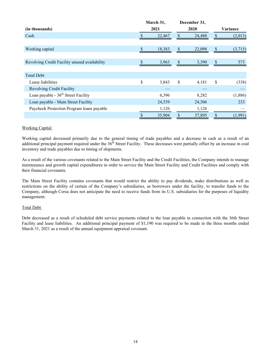|                                               | March 31,    |                           | December 31, |               |
|-----------------------------------------------|--------------|---------------------------|--------------|---------------|
| (in thousands)                                | 2021         |                           | 2020         | Variance      |
| Cash                                          | 22,467       | \$                        | 24,480       | \$<br>(2,013) |
|                                               |              |                           |              |               |
| Working capital                               | \$<br>18,383 | $\boldsymbol{\mathsf{S}}$ | 22,098       | \$<br>(3,715) |
|                                               |              |                           |              |               |
| Revolving Credit Facility unused availability | 3,963        | $\mathbb{S}$              | 3,390        | \$<br>573     |
|                                               |              |                           |              |               |
| <b>Total Debt</b>                             |              |                           |              |               |
| Lease liabilities                             | \$<br>3,843  | \$                        | 4,181        | \$<br>(338)   |
| <b>Revolving Credit Facility</b>              |              |                           |              |               |
| Loan payable - $36th$ Street Facility         | 6,396        |                           | 8,282        | (1,886)       |
| Loan payable - Main Street Facility           | 24,539       |                           | 24,306       | 233           |
| Paycheck Protection Program loans payable     | 1,126        |                           | 1,126        |               |
|                                               | \$<br>35,904 | \$                        | 37,895       | \$<br>(1,991) |

# Working Capital

Working capital decreased primarily due to the general timing of trade payables and a decrease in cash as a result of an additional principal payment required under the 36<sup>th</sup> Street Facility. These decreases were partially offset by an increase in coal inventory and trade payables due to timing of shipments.

As a result of the various covenants related to the Main Street Facility and the Credit Facilities, the Company intends to manage maintenance and growth capital expenditures in order to service the Main Street Facility and Credit Facilities and comply with their financial covenants.

The Main Street Facility contains covenants that would restrict the ability to pay dividends, make distributions as well as restrictions on the ability of certain of the Company's subsidiaries, as borrowers under the facility, to transfer funds to the Company, although Corsa does not anticipate the need to receive funds from its U.S. subsidiaries for the purposes of liquidity management.

# Total Debt

Debt decreased as a result of scheduled debt service payments related to the loan payable in connection with the 36th Street Facility and lease liabilities. An additional principal payment of \$1,190 was required to be made in the three months ended March 31, 2021 as a result of the annual equipment appraisal covenant.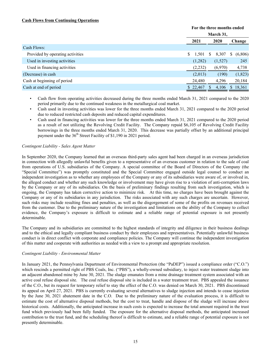# **Cash Flows from Continuing Operations**

|                                  | For the three months ended |          |   |           |    |         |  |
|----------------------------------|----------------------------|----------|---|-----------|----|---------|--|
|                                  |                            |          |   | March 31, |    |         |  |
|                                  |                            | 2021     |   | 2020      |    | Change  |  |
| Cash Flows:                      |                            |          |   |           |    |         |  |
| Provided by operating activities | \$                         | 1,501    | S | 8,307     | S. | (6,806) |  |
| Used in investing activities     |                            | (1,282)  |   | (1,527)   |    | 245     |  |
| Used in financing activities     |                            | (2,232)  |   | (6,970)   |    | 4,738   |  |
| (Decrease) in cash               |                            | (2,013)  |   | (190)     |    | (1,823) |  |
| Cash at beginning of period      |                            | 24,480   |   | 4,296     |    | 20,184  |  |
| Cash at end of period            |                            | \$22,467 |   | 4,106     |    | 18,361  |  |

- Cash flow from operating activities decreased during the three months ended March 31, 2021 compared to the 2020 period primarily due to the continued weakness in the metallurgical coal market.
- Cash used in investing activities was lower for the three months ended March 31, 2021 compared to the 2020 period due to reduced restricted cash deposits and reduced capital expenditures.
- Cash used in financing activities was lower for the three months ended March 31, 2021 compared to the 2020 period as a result of not utilizing the Revolving Credit Facility. The Company repaid \$6,105 of Revolving Credit Facility borrowings in the three months ended March 31, 2020. This decrease was partially offset by an additional principal payment under the 36<sup>th</sup> Street Facility of \$1,190 in 2021 period.

# *Contingent Liability - Sales Agent Matter*

In September 2020, the Company learned that an overseas third-party sales agent had been charged in an overseas jurisdiction in connection with allegedly unlawful benefits given to a representative of an overseas customer in relation to the sale of coal from operations of U.S. subsidiaries of the Company. A special committee of the Board of Directors of the Company (the "Special Committee") was promptly constituted and the Special Committee engaged outside legal counsel to conduct an independent investigation as to whether any employees of the Company or any of its subsidiaries were aware of, or involved in, the alleged conduct and whether any such knowledge or involvement may have given rise to a violation of anti-corruption laws by the Company or any of its subsidiaries. On the basis of preliminary findings resulting from such investigation, which is ongoing, the Company has taken corrective action to minimize risk. At this time, no charges have been brought against the Company or any of its subsidiaries in any jurisdiction. The risks associated with any such charges are uncertain. However, such risks may include resulting fines and penalties, as well as the disgorgement of some of the profits on revenues received from the customer. Due to the preliminary nature of the investigation and limitations on the ability of the Company to collect evidence, the Company's exposure is difficult to estimate and a reliable range of potential exposure is not presently determinable.

The Company and its subsidiaries are committed to the highest standards of integrity and diligence in their business dealings and to the ethical and legally compliant business conduct by their employees and representatives. Potentially unlawful business conduct is in direct conflict with corporate and compliance policies. The Company will continue the independent investigation of this matter and cooperate with authorities as needed with a view to a prompt and appropriate resolution.

# *Contingent Liability - Environmental Matter*

In January 2021, the Pennsylvania Department of Environmental Protection (the "PaDEP") issued a compliance order ("C.O.") which rescinds a permitted right of PBS Coals, Inc. ("PBS"), a wholly-owned subsidiary, to inject water treatment sludge into an adjacent abandoned mine by June 30, 2021. The sludge emanates from a mine drainage treatment system associated with an active coal refuse disposal site. The coal refuse disposal site is included in a water treatment trust. PBS appealed the issuance of the C.O., but its request for temporary relief to stay the effect of the C.O. was denied on March 30, 2021. PBS discontinued its appeal on April 27, 2021. PBS is currently evaluating several alternatives to sludge injection and intends to cease injection by the June 30, 2021 abatement date in the C.O. Due to the preliminary nature of the evaluation process, it is difficult to estimate the cost of alternative disposal methods, but the cost to treat, handle and dispose of the sludge will increase above historical costs. Additionally, the anticipated increase in such costs is expected to increase the total amount required in the trust fund which previously had been fully funded. The exposure for the alternative disposal methods, the anticipated increased contribution to the trust fund, and the scheduling thereof is difficult to estimate, and a reliable range of potential exposure is not presently determinable.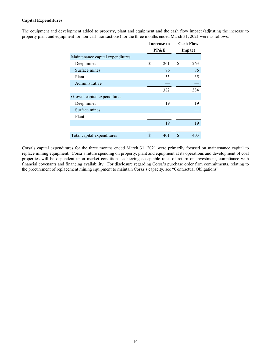# **Capital Expenditures**

The equipment and development added to property, plant and equipment and the cash flow impact (adjusting the increase to property plant and equipment for non-cash transactions) for the three months ended March 31, 2021 were as follows:

|                                  | <b>Increase to</b> |     | <b>Cash Flow</b> |
|----------------------------------|--------------------|-----|------------------|
|                                  | <b>PP&amp;E</b>    |     | Impact           |
| Maintenance capital expenditures |                    |     |                  |
| Deep mines                       | \$<br>261          | \$  | 263              |
| Surface mines                    | 86                 |     | 86               |
| Plant                            | 35                 |     | 35               |
| Administrative                   |                    |     |                  |
|                                  | 382                |     | 384              |
| Growth capital expenditures      |                    |     |                  |
| Deep mines                       | 19                 |     | 19               |
| Surface mines                    |                    |     |                  |
| Plant                            |                    |     |                  |
|                                  | 19                 |     | 19               |
|                                  |                    |     |                  |
| Total capital expenditures       | \$<br>401          | \$. | 403              |

Corsa's capital expenditures for the three months ended March 31, 2021 were primarily focused on maintenance capital to replace mining equipment. Corsa's future spending on property, plant and equipment at its operations and development of coal properties will be dependent upon market conditions, achieving acceptable rates of return on investment, compliance with financial covenants and financing availability. For disclosure regarding Corsa's purchase order firm commitments, relating to the procurement of replacement mining equipment to maintain Corsa's capacity, see "Contractual Obligations".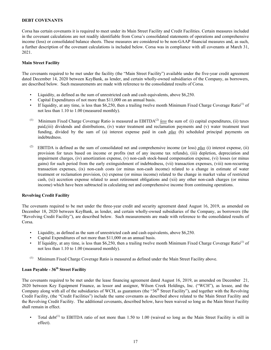# <span id="page-16-0"></span>**DEBT COVENANTS**

Corsa has certain covenants it is required to meet under its Main Street Facility and Credit Facilities. Certain measures included in the covenant calculations are not readily identifiable from Corsa's consolidated statements of operations and comprehensive income (loss) or consolidated balance sheets. These measures are considered to be non-GAAP financial measures and, as such, a further description of the covenant calculations is included below. Corsa was in compliance with all covenants at March 31, 2021.

#### **Main Street Facility**

The covenants required to be met under the facility (the "Main Street Facility") available under the five-year credit agreement dated December 14, 2020 between KeyBank, as lender, and certain wholly-owned subsidiaries of the Company, as borrowers, are described below. Such measurements are made with reference to the consolidated results of Corsa.

- Liquidity, as defined as the sum of unrestricted cash and cash equivalents, above \$6,250.
- Capital Expenditures of not more than \$11,000 on an annual basis.
- If liquidity, at any time, is less than \$6,250, then a trailing twelve month Minimum Fixed Charge Coverage Ratio<sup>(1)</sup> of not less than 1.10 to 1.00 (measured monthly).
- (1) Minimum Fixed Charge Coverage Ratio is measured as  $EBITDA<sup>(2)</sup>$  *less* the sum of: (i) capital expenditures, (ii) taxes paid,(iii) dividends and distributions, (iv) water treatment and reclamation payments and (v) water treatment trust funding, divided by the sum of (a) interest expense paid in cash *plus* (b) scheduled principal payments on indebtedness.
- (2) EBITDA is defined as the sum of consolidated net and comprehensive income (or loss)  $plus$  (i) interest expense, (ii) provision for taxes based on income or profits (net of any income tax refunds), (iii) depletion, depreciation and impairment charges, (iv) amortization expense, (v) non-cash stock-based compensation expense, (vi) losses (or minus gains) for such period from the early extinguishment of indebtedness, (vii) transaction expenses, (viii) non-recurring transaction expenses, (ix) non-cash costs (or minus non-cash income) related to a change in estimate of water treatment or reclamation provision, (x) expense (or minus income) related to the change in market value of restricted cash, (xi) accretion expense related to asset retirement obligations and (xii) any other non-cash charges (or minus income) which have been subtracted in calculating net and comprehensive income from continuing operations.

#### **Revolving Credit Facility**

The covenants required to be met under the three-year credit and security agreement dated August 16, 2019, as amended on December 18, 2020 between KeyBank, as lender, and certain wholly-owned subsidiaries of the Company, as borrowers (the "Revolving Credit Facility"), are described below. Such measurements are made with reference to the consolidated results of Corsa.

- Liquidity, as defined as the sum of unrestricted cash and cash equivalents, above \$6,250.
- Capital Expenditures of not more than \$11,000 on an annual basis.
- If liquidity, at any time, is less than \$6,250, then a trailing twelve month Minimum Fixed Charge Coverage Ratio<sup>(1)</sup> of not less than 1.10 to 1.00 (measured monthly).
- (1) Minimum Fixed Charge Coverage Ratio is measured as defined under the Main Street Facility above.

# **Loan Payable - 36th Street Facility**

The covenants required to be met under the lease financing agreement dated August 16, 2019, as amended on December 21, 2020 between Key Equipment Finance, as lessor and assignor, Wilson Creek Holdings, Inc. ("WCH"), as lessee, and the Company along with all of the subsidiaries of WCH, as guarantors (the "36<sup>th</sup> Street Facility"), and together with the Revolving Credit Facility, (the "Credit Facilities") include the same covenants as described above related to the Main Street Facility and the Revolving Credit Facility. The additional covenants, described below, have been waived so long as the Main Street Facility shall remain in effect.

• Total debt<sup>(1)</sup> to EBITDA ratio of not more than 1.50 to 1.00 (waived so long as the Main Street Facility is still in effect).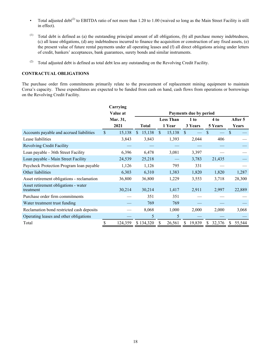- <span id="page-17-0"></span>• Total adjusted debt<sup>(2)</sup> to EBITDA ratio of not more than 1.20 to 1.00 (waived so long as the Main Street Facility is still in effect).
- (1) Total debt is defined as (a) the outstanding principal amount of all obligations, (b) all purchase money indebtedness, (c) all lease obligations, (d) any indebtedness incurred to finance the acquisition or construction of any fixed assets, (e) the present value of future rental payments under all operating leases and (f) all direct obligations arising under letters of credit, bankers' acceptances, bank guarantees, surety bonds and similar instruments.
- (2) Total adjusted debt is defined as total debt less any outstanding on the Revolving Credit Facility.

# **CONTRACTUAL OBLIGATIONS**

The purchase order firm commitments primarily relate to the procurement of replacement mining equipment to maintain Corsa's capacity. These expenditures are expected to be funded from cash on hand, cash flows from operations or borrowings on the Revolving Credit Facility.

|                                                   |               | Carrying |    |              |                    |        |              |                        |               |         |               |         |
|---------------------------------------------------|---------------|----------|----|--------------|--------------------|--------|--------------|------------------------|---------------|---------|---------------|---------|
|                                                   |               | Value at |    |              |                    |        |              | Payments due by period |               |         |               |         |
|                                                   |               | Mar. 31, |    |              | <b>Less Than</b>   |        | 1 to         |                        |               | 4 to    |               | After 5 |
|                                                   |               | 2021     |    | <b>Total</b> |                    | 1 Year |              | 3 Years                |               | 5 Years |               | Years   |
| Accounts payable and accrued liabilities          | $\mathsf{\$}$ | 15,138   | \$ | 15,138       | $\mathbf{\hat{S}}$ | 15,138 | $\mathbb{S}$ |                        | \$            |         | $\mathcal{S}$ |         |
| Lease liabilities                                 |               | 3,843    |    | 3,843        |                    | 1,393  |              | 2,044                  |               | 406     |               |         |
| <b>Revolving Credit Facility</b>                  |               |          |    |              |                    |        |              |                        |               |         |               |         |
| Loan payable - 36th Street Facility               |               | 6,396    |    | 6,478        |                    | 3,081  |              | 3,397                  |               |         |               |         |
| Loan payable - Main Street Facility               |               | 24,539   |    | 25,218       |                    |        |              | 3,783                  |               | 21,435  |               |         |
| Paycheck Protection Program loan payable          |               | 1,126    |    | 1,126        |                    | 795    |              | 331                    |               |         |               |         |
| Other liabilities                                 |               | 6,303    |    | 6,310        |                    | 1,383  |              | 1,820                  |               | 1,820   |               | 1,287   |
| Asset retirement obligations - reclamation        |               | 36,800   |    | 36,800       |                    | 1,229  |              | 3,553                  |               | 3,718   |               | 28,300  |
| Asset retirement obligations - water<br>treatment |               | 30,214   |    | 30,214       |                    | 1,417  |              | 2,911                  |               | 2,997   |               | 22,889  |
| Purchase order firm commitments                   |               |          |    | 351          |                    | 351    |              |                        |               |         |               |         |
| Water treatment trust funding                     |               |          |    | 769          |                    | 769    |              |                        |               |         |               |         |
| Reclamation bond restricted cash deposits         |               |          |    | 8,068        |                    | 1,000  |              | 2,000                  |               | 2,000   |               | 3,068   |
| Operating leases and other obligations            |               |          |    | 5            |                    | 5      |              |                        |               |         |               |         |
| Total                                             | \$            | 124,359  |    | \$134,320    | \$                 | 26,561 | \$           | 19,839                 | <sup>\$</sup> | 32,376  | S.            | 55,544  |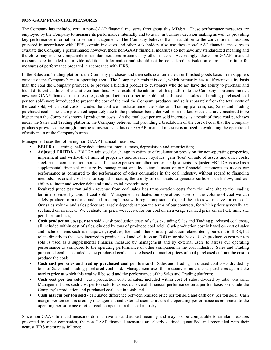# <span id="page-18-0"></span>**NON-GAAP FINANCIAL MEASURES**

The Company has included certain non-GAAP financial measures throughout this MD&A. These performance measures are employed by the Company to measure its performance internally and to assist in business decision-making as well as providing key performance information to senior management. The Company believes that, in addition to the conventional measures prepared in accordance with IFRS, certain investors and other stakeholders also use these non-GAAP financial measures to evaluate the Company's performance; however, these non-GAAP financial measures do not have any standardized meaning and therefore may not be comparable to similar measures presented by other issuers. Accordingly, these non-GAAP financial measures are intended to provide additional information and should not be considered in isolation or as a substitute for measures of performance prepared in accordance with IFRS.

In the Sales and Trading platform, the Company purchases and then sells coal on a clean or finished goods basis from suppliers outside of the Company's main operating area. The Company blends this coal, which primarily has a different quality basis than the coal the Company produces, to provide a blended product to customers who do not have the ability to purchase and blend different qualities of coal at their facilities. As a result of the addition of this platform to the Company's business model, new non-GAAP financial measures (i.e., cash production cost per ton sold and cash cost per sales and trading purchased coal per ton sold) were introduced to present the cost of the coal the Company produces and sells separately from the total costs of the coal sold, which total costs includes the coal we purchase under the Sales and Trading platform, i.e., Sales and Trading purchased coal. These are presented separately due to the purchases being derived from market prices that are considered to be higher than the Company's internal production costs. As the total cost per ton sold increases as a result of these coal purchases under the Sales and Trading platform, the Company believes that providing a breakdown of the cost of coal that the Company produces provides a meaningful metric to investors as this non-GAAP financial measure is utilized in evaluating the operational effectiveness of the Company's mines.

Management uses the following non-GAAP financial measures:

- **EBITDA** earnings before deductions for interest, taxes, depreciation and amortization;
- **• Adjusted EBITDA** EBITDA adjusted for change in estimate of reclamation provision for non-operating properties, impairment and write-off of mineral properties and advance royalties, gain (loss) on sale of assets and other costs, stock-based compensation, non-cash finance expenses and other non-cash adjustments. Adjusted EBITDA is used as a supplemental financial measure by management and by external users of our financial statements to assess our performance as compared to the performance of other companies in the coal industry, without regard to financing methods, historical cost basis or capital structure; the ability of our assets to generate sufficient cash flow; and our ability to incur and service debt and fund capital expenditures;
- **Realized price per ton sold** revenue from coal sales less transportation costs from the mine site to the loading terminal divided by tons of coal sold. Management evaluates our operations based on the volume of coal we can safely produce or purchase and sell in compliance with regulatory standards, and the prices we receive for our coal. Our sales volume and sales prices are largely dependent upon the terms of our contracts, for which prices generally are set based on an index. We evaluate the price we receive for our coal on an average realized price on an FOB mine site per short ton basis;
- **• Cash production cost per ton sold** cash production costs of sales excluding Sales and Trading purchased coal costs, all included within cost of sales, divided by tons of produced coal sold. Cash production cost is based on cost of sales and includes items such as manpower, royalties, fuel, and other similar production related items, pursuant to IFRS, but relate directly to the costs incurred to produce coal and sell it on an FOB mine site basis. Cash production cost per ton sold is used as a supplemental financial measure by management and by external users to assess our operating performance as compared to the operating performance of other companies in the coal industry. Sales and Trading purchased coal is excluded as the purchased coal costs are based on market prices of coal purchased and not the cost to produce the coal;
- **• Cash cost per sales and trading purchased coal per ton sold** Sales and Trading purchased coal costs divided by tons of Sales and Trading purchased coal sold. Management uses this measure to assess coal purchases against the market price at which this coal will be sold and the performance of the Sales and Trading platform;
- **• Cash cost per ton sold** cash production costs of sales, included within cost of sales, divided by total tons sold. Management uses cash cost per ton sold to assess our overall financial performance on a per ton basis to include the Company's production and purchased coal cost in total; and
- **• Cash margin per ton sold** calculated difference between realized price per ton sold and cash cost per ton sold. Cash margin per ton sold is used by management and external users to assess the operating performance as compared to the operating performance of other coal companies in the coal industry.

Since non-GAAP financial measures do not have a standardized meaning and may not be comparable to similar measures presented by other companies, the non-GAAP financial measures are clearly defined, quantified and reconciled with their nearest IFRS measure as follows: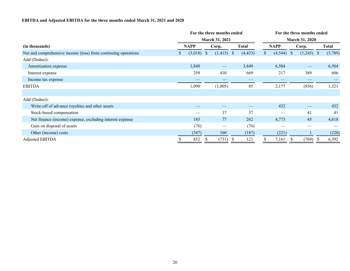# **EBITDA and Adjusted EBITDA for the three months ended March 31, 2021 and 2020**

|                                                                | For the three months ended |         |            |                   |              |                       | For the three months ended |             |            |                   |    |              |  |  |  |  |
|----------------------------------------------------------------|----------------------------|---------|------------|-------------------|--------------|-----------------------|----------------------------|-------------|------------|-------------------|----|--------------|--|--|--|--|
|                                                                |                            |         |            | March 31, 2021    |              | <b>March 31, 2020</b> |                            |             |            |                   |    |              |  |  |  |  |
| (in thousands)                                                 | <b>NAPP</b>                |         | Corp.      |                   | <b>Total</b> |                       |                            | <b>NAPP</b> |            | Corp.             |    | <b>Total</b> |  |  |  |  |
| Net and comprehensive income (loss) from continuing operations | S.                         | (3,018) | $\sqrt{S}$ | $(1,415)$ \$      |              | (4, 433)              | S.                         | (4, 544)    | $\sqrt{3}$ | (1,245)           | -S | (5,789)      |  |  |  |  |
| Add (Deduct):                                                  |                            |         |            |                   |              |                       |                            |             |            |                   |    |              |  |  |  |  |
| Amortization expense                                           |                            | 3,849   |            | $\hspace{0.05cm}$ |              | 3,849                 |                            | 6,504       |            | $\hspace{0.05cm}$ |    | 6,504        |  |  |  |  |
| Interest expense                                               |                            | 259     |            | 410               |              | 669                   |                            | 217         |            | 389               |    | 606          |  |  |  |  |
| Income tax expense                                             |                            |         |            |                   |              |                       |                            |             |            |                   |    |              |  |  |  |  |
| <b>EBITDA</b>                                                  |                            | 1,090   |            | (1,005)           |              | 85                    |                            | 2,177       |            | (856)             |    | 1,321        |  |  |  |  |
|                                                                |                            |         |            |                   |              |                       |                            |             |            |                   |    |              |  |  |  |  |
| Add (Deduct):                                                  |                            |         |            |                   |              |                       |                            |             |            |                   |    |              |  |  |  |  |
| Write-off of advance royalties and other assets                |                            |         |            |                   |              |                       |                            | 432         |            |                   |    | 432          |  |  |  |  |
| Stock-based compensation                                       |                            |         |            | 37                |              | 37                    |                            |             |            | 41                |    | 41           |  |  |  |  |
| Net finance (income) expense, excluding interest expense       |                            | 185     |            | 77                |              | 262                   |                            | 4,773       |            | 45                |    | 4,818        |  |  |  |  |
| Gain on disposal of assets                                     |                            | (76)    |            |                   |              | (76)                  |                            |             |            |                   |    |              |  |  |  |  |
| Other (income) costs                                           |                            | (347)   |            | 160               |              | (187)                 |                            | (221)       |            |                   |    | (220)        |  |  |  |  |
| Adjusted EBITDA                                                |                            | 852     |            | (731)             |              | 121                   |                            | 7,161       |            | (769)             |    | 6,392        |  |  |  |  |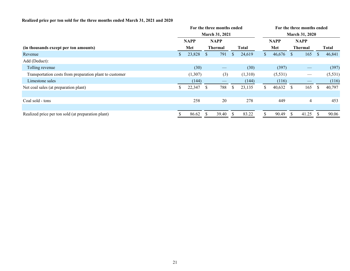# **Realized price per ton sold for the three months ended March 31, 2021 and 2020**

|                |         |              |       |                               |              | For the three months ended |          |              |                   |                               |                       |  |  |  |
|----------------|---------|--------------|-------|-------------------------------|--------------|----------------------------|----------|--------------|-------------------|-------------------------------|-----------------------|--|--|--|
| March 31, 2021 |         |              |       |                               |              |                            |          |              |                   |                               |                       |  |  |  |
|                |         |              |       |                               |              |                            |          |              |                   |                               |                       |  |  |  |
|                | Met     |              |       |                               | <b>Total</b> |                            | Met      |              |                   |                               | <b>Total</b>          |  |  |  |
| S.             | 23,828  | S            | 791   | <sup>\$</sup>                 | 24,619       | S.                         | 46,676   | <sup>S</sup> | 165               | S                             | 46,841                |  |  |  |
|                |         |              |       |                               |              |                            |          |              |                   |                               |                       |  |  |  |
|                | (30)    |              |       |                               | (30)         |                            | (397)    |              |                   |                               | (397)                 |  |  |  |
|                | (1,307) |              | (3)   |                               | (1,310)      |                            | (5, 531) |              | $\hspace{0.05cm}$ |                               | (5,531)               |  |  |  |
|                | (144)   |              |       |                               | (144)        |                            | (116)    |              |                   |                               | (116)                 |  |  |  |
| ъ              | 22,347  | <sup>S</sup> | 788   | <sup>\$</sup>                 | 23,135       | S.                         | 40,632   | <sup>S</sup> | 165               | <sup>S</sup>                  | 40,797                |  |  |  |
|                |         |              |       |                               |              |                            |          |              |                   |                               |                       |  |  |  |
|                | 258     |              | 20    |                               | 278          |                            | 449      |              | $\overline{4}$    |                               | 453                   |  |  |  |
|                |         |              |       |                               |              |                            |          |              |                   |                               |                       |  |  |  |
|                | 86.62   |              | 39.40 |                               | 83.22        |                            | 90.49    |              | 41.25             |                               | 90.06                 |  |  |  |
|                |         | <b>NAPP</b>  |       | <b>NAPP</b><br><b>Thermal</b> |              | For the three months ended |          | <b>NAPP</b>  |                   | <b>NAPP</b><br><b>Thermal</b> | <b>March 31, 2020</b> |  |  |  |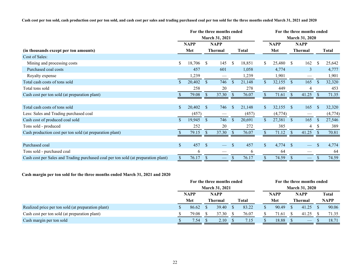**Cash cost per ton sold, cash production cost per ton sold, and cash cost per sales and trading purchased coal per ton sold for the three months ended March 31, 2021 and 2020**

|                                                                                    | For the three months ended<br><b>March 31, 2021</b> |             |                           |                          |                           |        |              | For the three months ended |                |                          |               |              |
|------------------------------------------------------------------------------------|-----------------------------------------------------|-------------|---------------------------|--------------------------|---------------------------|--------|--------------|----------------------------|----------------|--------------------------|---------------|--------------|
|                                                                                    |                                                     | <b>NAPP</b> |                           | <b>NAPP</b>              |                           |        |              | <b>NAPP</b>                |                | <b>NAPP</b>              |               |              |
| (in thousands except per ton amounts)                                              | Met                                                 |             | <b>Thermal</b>            |                          | <b>Total</b>              |        | Met          |                            | <b>Thermal</b> |                          |               | <b>Total</b> |
| Cost of Sales:                                                                     |                                                     |             |                           |                          |                           |        |              |                            |                |                          |               |              |
| Mining and processing costs                                                        | S.                                                  | 18,706      | <sup>\$</sup>             | 145                      | <sup>\$</sup>             | 18,851 | S.           | 25,480                     | <sup>S</sup>   | 162                      | <sup>\$</sup> | 25,642       |
| Purchased coal costs                                                               |                                                     | 457         |                           | 601                      |                           | 1,058  |              | 4,774                      |                | $\overline{3}$           |               | 4,777        |
| Royalty expense                                                                    |                                                     | 1,239       |                           |                          |                           | 1,239  |              | 1,901                      |                | $\hspace{0.05cm}$        |               | 1,901        |
| Total cash costs of tons sold                                                      | $\mathcal{S}$                                       | 20,402      | $\mathbb{S}$              | 746                      | $\mathcal{S}$             | 21,148 | $\mathbb{S}$ | 32,155                     | $\mathcal{S}$  | 165                      | <sup>S</sup>  | 32,320       |
| Total tons sold                                                                    |                                                     | 258         |                           | 20                       |                           | 278    |              | 449                        |                | 4                        |               | 453          |
| Cash cost per ton sold (at preparation plant)                                      |                                                     | 79.08       | <sup>S</sup>              | 37.30                    | <sup>S</sup>              | 76.07  |              | 71.61                      | <sup>S</sup>   | 41.25                    |               | 71.35        |
|                                                                                    |                                                     |             |                           |                          |                           |        |              |                            |                |                          |               |              |
| Total cash costs of tons sold                                                      | \$                                                  | 20,402      | <sup>S</sup>              | 746                      | <sup>S</sup>              | 21,148 | <sup>S</sup> | 32,155                     | -S             | 165                      | <sup>\$</sup> | 32,320       |
| Less: Sales and Trading purchased coal                                             |                                                     | (457)       |                           |                          |                           | (457)  |              | (4,774)                    |                | $\hspace{0.05cm}$        |               | (4,774)      |
| Cash cost of produced coal sold                                                    |                                                     | 19,945      | <sup>S</sup>              | 746                      | <sup>S</sup>              | 20,691 | $\mathbb{S}$ | 27,381                     | <sup>S</sup>   | 165                      | <sup>S</sup>  | 27,546       |
| Tons sold - produced                                                               |                                                     | 252         |                           | 20                       |                           | 272    |              | 385                        |                | 4                        |               | 389          |
| Cash production cost per ton sold (at preparation plant)                           |                                                     | 79.15       | $\sqrt{\ }$               | 37.30                    | -S                        | 76.07  |              | 71.12                      | <sup>S</sup>   | 41.25                    |               | 70.81        |
|                                                                                    |                                                     |             |                           |                          |                           |        |              |                            |                |                          |               |              |
| Purchased coal                                                                     | \$                                                  | 457         | $\mathcal{S}$             |                          | <sup>S</sup>              | 457    | $\mathbb{S}$ | 4,774                      | $\mathcal{S}$  |                          |               | 4,774        |
| Tons sold - purchased coal                                                         |                                                     | 6           |                           | --                       |                           | 6      |              | 64                         |                |                          |               | 64           |
| Cash cost per Sales and Trading purchased coal per ton sold (at preparation plant) | \$                                                  | 76.17       | $\boldsymbol{\mathsf{S}}$ | $\overline{\phantom{0}}$ | $\boldsymbol{\mathsf{S}}$ | 76.17  | \$           | 74.59                      | $\mathbf{s}$   | $\overline{\phantom{0}}$ | <sup>S</sup>  | 74.59        |

# **Cash margin per ton sold for the three months ended March 31, 2021 and 2020**

|                                                    | For the three months ended |                       |  |                |  | For the three months ended |  |             |                |                                |             |              |  |
|----------------------------------------------------|----------------------------|-----------------------|--|----------------|--|----------------------------|--|-------------|----------------|--------------------------------|-------------|--------------|--|
|                                                    |                            | <b>March 31, 2021</b> |  |                |  |                            |  |             |                |                                |             |              |  |
|                                                    |                            | <b>NAPP</b><br>Met    |  | <b>NAPP</b>    |  |                            |  | <b>NAPP</b> |                | <b>NAPP</b>                    |             | <b>Total</b> |  |
|                                                    |                            |                       |  | <b>Thermal</b> |  | Total                      |  | Met         | <b>Thermal</b> |                                | <b>NAPP</b> |              |  |
| Realized price per ton sold (at preparation plant) |                            | 86.62                 |  | 39.40          |  | 83.22                      |  | 90.49       |                | 41.25                          |             | 90.06        |  |
| Cash cost per ton sold (at preparation plant)      |                            | 79.08                 |  | 37.30          |  | 76.07                      |  | 71.61       |                | 41.25                          |             | 71.35        |  |
| Cash margin per ton sold                           |                            | 7.54                  |  | 2.10           |  | 7.15                       |  | 18.88       |                | $\overbrace{\hspace{25mm}}^{}$ |             | 18.71        |  |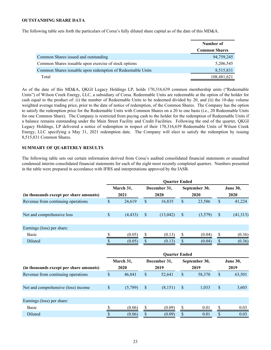### <span id="page-22-0"></span>**OUTSTANDING SHARE DATA**

The following table sets forth the particulars of Corsa's fully diluted share capital as of the date of this MD&A.

|                                                            | Number of            |
|------------------------------------------------------------|----------------------|
|                                                            | <b>Common Shares</b> |
| Common Shares issued and outstanding                       | 94,759,245           |
| Common Shares issuable upon exercise of stock options      | 5,206,545            |
| Common Shares issuable upon redemption of Redeemable Units | 8,515,831            |
| Total                                                      | 108,481,621          |

As of the date of this MD&A, QKGI Legacy Holdings LP, holds 170,316,639 common membership units ("Redeemable Units") of Wilson Creek Energy, LLC, a subsidiary of Corsa. Redeemable Units are redeemable at the option of the holder for cash equal to the product of: (i) the number of Redeemable Units to be redeemed divided by 20, and (ii) the 10-day volume weighted average trading price, prior to the date of notice of redemption, of the Common Shares. The Company has the option to satisfy the redemption price for the Redeemable Units with Common Shares on a 20 to one basis (i.e., 20 Redeemable Units for one Common Share). The Company is restricted from paying cash to the holder for the redemption of Redeemable Units if a balance remains outstanding under the Main Street Facility and Credit Facilities. Following the end of the quarter, QKGI Legacy Holdings, LP delivered a notice of redemption in respect of their 170,316,639 Redeemable Units of Wilson Creek Energy, LLC specifying a May 31, 2021 redemption date. The Company will elect to satisfy the redemption by issuing 8,515,831 Common Shares.

#### **SUMMARY OF QUARTERLY RESULTS**

The following table sets out certain information derived from Corsa's audited consolidated financial statements or unaudited condensed interim consolidated financial statements for each of the eight most recently completed quarters. Numbers presented in the table were prepared in accordance with IFRS and interpretations approved by the IASB.

|                                         | <b>Quarter Ended</b> |          |   |              |              |               |    |                 |  |  |  |  |  |
|-----------------------------------------|----------------------|----------|---|--------------|--------------|---------------|----|-----------------|--|--|--|--|--|
|                                         | March 31,            |          |   | December 31, |              | September 30, |    | <b>June 30,</b> |  |  |  |  |  |
| (in thousands except per share amounts) |                      | 2021     |   | 2020         |              | 2020          |    | 2020            |  |  |  |  |  |
| Revenue from continuing operations      | \$                   | 24,619   | S | 16,835       | 23,586<br>\$ |               | S  | 41,224          |  |  |  |  |  |
|                                         |                      |          |   |              |              |               |    |                 |  |  |  |  |  |
| Net and comprehensive loss              | \$                   | (4, 433) | S | (13, 042)    | S            | (3,579)       | \$ | (41, 313)       |  |  |  |  |  |
|                                         |                      |          |   |              |              |               |    |                 |  |  |  |  |  |
| Earnings (loss) per share:              |                      |          |   |              |              |               |    |                 |  |  |  |  |  |
| Basic                                   |                      | (0.05)   |   | (0.13)       |              | (0.04)        |    | (0.36)          |  |  |  |  |  |
| Diluted                                 |                      | (0.05)   |   | (0.13)       |              | (0.04)        |    | (0.36)          |  |  |  |  |  |
|                                         |                      |          |   |              |              |               |    |                 |  |  |  |  |  |

|                                         | <b>Ouarter Ended</b> |         |      |              |               |        |                 |        |  |  |
|-----------------------------------------|----------------------|---------|------|--------------|---------------|--------|-----------------|--------|--|--|
|                                         | March 31,            |         |      | December 31, | September 30, |        | <b>June 30,</b> |        |  |  |
| (in thousands except per share amounts) | 2020                 |         | 2019 |              | 2019          |        | 2019            |        |  |  |
| Revenue from continuing operations      | \$                   | 46,841  | S    | 52,641       | <sup>S</sup>  | 58,370 | <sup>\$</sup>   | 63,501 |  |  |
|                                         |                      |         |      |              |               |        |                 |        |  |  |
| Net and comprehensive (loss) income     | \$                   | (5,789) | S    | (8,151)      | S             | 1,033  | \$              | 3,603  |  |  |
|                                         |                      |         |      |              |               |        |                 |        |  |  |
| Earnings (loss) per share:              |                      |         |      |              |               |        |                 |        |  |  |
| <b>Basic</b>                            |                      | (0.06)  |      | (0.09)       |               | 0.01   |                 | 0.03   |  |  |
| Diluted                                 |                      | (0.06)  |      | (0.09)       |               | 0.01   |                 | 0.03   |  |  |
|                                         |                      |         |      |              |               |        |                 |        |  |  |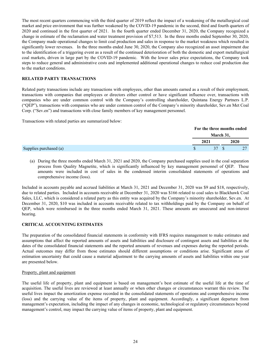<span id="page-23-0"></span>The most recent quarters commencing with the third quarter of 2019 reflect the impact of a weakening of the metallurgical coal market and price environment that was further weakened by the COVID-19 pandemic in the second, third and fourth quarters of 2020 and continued in the first quarter of 2021. In the fourth quarter ended December 31, 2020, the Company recognized a change in estimate of the reclamation and water treatment provision of \$7,513. In the three months ended September 30, 2020, the Company made operational changes to limit coal production and sales in response to the market weakness which resulted in significantly lower revenues. In the three months ended June 30, 2020, the Company also recognized an asset impairment due to the identification of a triggering event as a result of the continued deterioration of both the domestic and export metallurgical coal markets, driven in large part by the COVID-19 pandemic. With the lower sales price expectations, the Company took steps to reduce general and administrative costs and implemented additional operational changes to reduce coal production due to the market conditions.

# **RELATED PARTY TRANSACTIONS**

Related party transactions include any transactions with employees, other than amounts earned as a result of their employment, transactions with companies that employees or directors either control or have significant influence over, transactions with companies who are under common control with the Company's controlling shareholder, Quintana Energy Partners L.P. ("QEP"), transactions with companies who are under common control of the Company's minority shareholder, Sev.en Met Coal Corp. ("Sev.en") and transactions with close family members of key management personnel.

Transactions with related parties are summarized below:

|                        |      | For the three months ended |  |      |  |  |
|------------------------|------|----------------------------|--|------|--|--|
|                        |      | March 31,                  |  |      |  |  |
|                        | 2021 |                            |  | 2020 |  |  |
| Supplies purchased (a) |      | 37 \$                      |  | 27   |  |  |

(a) During the three months ended March 31, 2021 and 2020, the Company purchased supplies used in the coal separation process from Quality Magnetite, which is significantly influenced by key management personnel of QEP. These amounts were included in cost of sales in the condensed interim consolidated statements of operations and comprehensive income (loss).

Included in accounts payable and accrued liabilities at March 31, 2021 and December 31, 2020 was \$9 and \$18, respectively, due to related parties. Included in accounts receivable at December 31, 2020 was \$166 related to coal sales to Blackhawk Coal Sales, LLC, which is considered a related party as this entity was acquired by the Company's minority shareholder, Sev.en. At December 31, 2020, \$10 was included in accounts receivable related to tax withholdings paid by the Company on behalf of QEP, which were reimbursed in the three months ended March 31, 2021. These amounts are unsecured and non-interest bearing.

# **CRITICAL ACCOUNTING ESTIMATES**

The preparation of the consolidated financial statements in conformity with IFRS requires management to make estimates and assumptions that affect the reported amounts of assets and liabilities and disclosure of contingent assets and liabilities at the dates of the consolidated financial statements and the reported amounts of revenues and expenses during the reported periods. Actual outcomes may differ from those estimates should different assumptions or conditions arise. Significant areas of estimation uncertainty that could cause a material adjustment to the carrying amounts of assets and liabilities within one year are presented below.

# Property, plant and equipment

The useful life of property, plant and equipment is based on management's best estimate of the useful life at the time of acquisition. The useful lives are reviewed at least annually or when other changes or circumstances warrant this review. The useful lives impact the amortization expense recorded in the consolidated statements of operations and comprehensive income (loss) and the carrying value of the items of property, plant and equipment. Accordingly, a significant departure from management's expectation, including the impact of any changes in economic, technological or regulatory circumstances beyond management's control, may impact the carrying value of items of property, plant and equipment.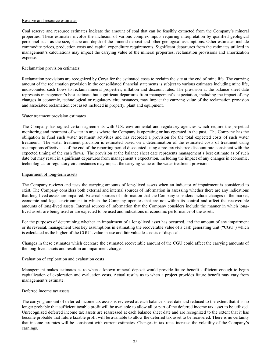### Reserve and resource estimates

Coal reserve and resource estimates indicate the amount of coal that can be feasibly extracted from the Company's mineral properties. These estimates involve the inclusion of various complex inputs requiring interpretation by qualified geological personnel such as the size, shape and depth of the mineral deposit and other geological assumptions. Other estimates include commodity prices, production costs and capital expenditure requirements. Significant departures from the estimates utilized in management's calculations may impact the carrying value of the mineral properties, reclamation provisions and amortization expense.

# Reclamation provision estimates

Reclamation provisions are recognized by Corsa for the estimated costs to reclaim the site at the end of mine life. The carrying amount of the reclamation provision in the consolidated financial statements is subject to various estimates including mine life, undiscounted cash flows to reclaim mineral properties, inflation and discount rates. The provision at the balance sheet date represents management's best estimate but significant departures from management's expectation, including the impact of any changes in economic, technological or regulatory circumstances, may impact the carrying value of the reclamation provision and associated reclamation cost asset included in property, plant and equipment.

### Water treatment provision estimates

The Company has signed certain agreements with U.S. environmental and regulatory agencies which require the perpetual monitoring and treatment of water in areas where the Company is operating or has operated in the past. The Company has the obligation to fund such water treatment activities and has recorded a provision for the total expected costs of such water treatment. The water treatment provision is estimated based on a determination of the estimated costs of treatment using assumptions effective as of the end of the reporting period discounted using a pre-tax risk-free discount rate consistent with the expected timing of the cash flows. The provision at the balance sheet date represents management's best estimate as of such date but may result in significant departures from management's expectation, including the impact of any changes in economic, technological or regulatory circumstances may impact the carrying value of the water treatment provision.

### Impairment of long-term assets

The Company reviews and tests the carrying amounts of long-lived assets when an indicator of impairment is considered to exist. The Company considers both external and internal sources of information in assessing whether there are any indications that long-lived assets are impaired. External sources of information that the Company considers include changes in the market, economic and legal environment in which the Company operates that are not within its control and affect the recoverable amounts of long-lived assets. Internal sources of information that the Company considers include the manner in which longlived assets are being used or are expected to be used and indications of economic performance of the assets.

For the purposes of determining whether an impairment of a long-lived asset has occurred, and the amount of any impairment or its reversal, management uses key assumptions in estimating the recoverable value of a cash generating unit ("CGU") which is calculated as the higher of the CGU's value in-use and fair value less costs of disposal.

Changes in these estimates which decrease the estimated recoverable amount of the CGU could affect the carrying amounts of the long-lived assets and result in an impairment charge.

# Evaluation of exploration and evaluation costs

Management makes estimates as to when a known mineral deposit would provide future benefit sufficient enough to begin capitalization of exploration and evaluation costs. Actual results as to when a project provides future benefit may vary from management's estimate.

#### Deferred income tax assets

The carrying amount of deferred income tax assets is reviewed at each balance sheet date and reduced to the extent that it is no longer probable that sufficient taxable profit will be available to allow all or part of the deferred income tax asset to be utilized. Unrecognized deferred income tax assets are reassessed at each balance sheet date and are recognized to the extent that it has become probable that future taxable profit will be available to allow the deferred tax asset to be recovered. There is no certainty that income tax rates will be consistent with current estimates. Changes in tax rates increase the volatility of the Company's earnings.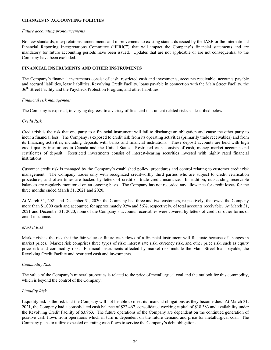# <span id="page-25-0"></span>**CHANGES IN ACCOUNTING POLICIES**

#### *Future accounting pronouncements*

No new standards, interpretations, amendments and improvements to existing standards issued by the IASB or the International Financial Reporting Interpretations Committee ("IFRIC") that will impact the Company's financial statements and are mandatory for future accounting periods have been issued. Updates that are not applicable or are not consequential to the Company have been excluded.

# **FINANCIAL INSTRUMENTS AND OTHER INSTRUMENTS**

The Company's financial instruments consist of cash, restricted cash and investments, accounts receivable, accounts payable and accrued liabilities, lease liabilities, Revolving Credit Facility, loans payable in connection with the Main Street Facility, the 36<sup>th</sup> Street Facility and the Paycheck Protection Program, and other liabilities.

# *Financial risk management*

The Company is exposed, in varying degrees, to a variety of financial instrument related risks as described below.

### *Credit Risk*

Credit risk is the risk that one party to a financial instrument will fail to discharge an obligation and cause the other party to incur a financial loss. The Company is exposed to credit risk from its operating activities (primarily trade receivables) and from its financing activities, including deposits with banks and financial institutions. These deposit accounts are held with high credit quality institutions in Canada and the United States. Restricted cash consists of cash, money market accounts and certificates of deposit. Restricted investments consist of interest-bearing securities invested with highly rated financial institutions.

Customer credit risk is managed by the Company's established policy, procedures and control relating to customer credit risk management. The Company trades only with recognized creditworthy third parties who are subject to credit verification procedures, and often times are backed by letters of credit or trade credit insurance. In addition, outstanding receivable balances are regularly monitored on an ongoing basis. The Company has not recorded any allowance for credit losses for the three months ended March 31, 2021 and 2020.

At March 31, 2021 and December 31, 2020, the Company had three and two customers, respectively, that owed the Company more than \$1,000 each and accounted for approximately 92% and 56%, respectively, of total accounts receivable. At March 31, 2021 and December 31, 2020, none of the Company's accounts receivables were covered by letters of credit or other forms of credit insurance.

# *Market Risk*

Market risk is the risk that the fair value or future cash flows of a financial instrument will fluctuate because of changes in market prices. Market risk comprises three types of risk: interest rate risk, currency risk, and other price risk, such as equity price risk and commodity risk. Financial instruments affected by market risk include the Main Street loan payable, the Revolving Credit Facility and restricted cash and investments.

#### *Commodity Risk*

The value of the Company's mineral properties is related to the price of metallurgical coal and the outlook for this commodity, which is beyond the control of the Company.

# *Liquidity Risk*

Liquidity risk is the risk that the Company will not be able to meet its financial obligations as they become due. At March 31, 2021, the Company had a consolidated cash balance of \$22,467, consolidated working capital of \$18,383 and availability under the Revolving Credit Facility of \$3,963. The future operations of the Company are dependent on the continued generation of positive cash flows from operations which in turn is dependent on the future demand and price for metallurgical coal. The Company plans to utilize expected operating cash flows to service the Company's debt obligations.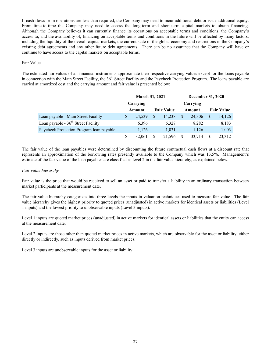If cash flows from operations are less than required, the Company may need to incur additional debt or issue additional equity. From time-to-time the Company may need to access the long-term and short-term capital markets to obtain financing. Although the Company believes it can currently finance its operations on acceptable terms and conditions, the Company's access to, and the availability of, financing on acceptable terms and conditions in the future will be affected by many factors, including the liquidity of the overall capital markets, the current state of the global economy and restrictions in the Company's existing debt agreements and any other future debt agreements. There can be no assurance that the Company will have or continue to have access to the capital markets on acceptable terms.

# Fair Value

The estimated fair values of all financial instruments approximate their respective carrying values except for the loans payable in connection with the Main Street Facility, the 36<sup>th</sup> Street Facility and the Paycheck Protection Program. The loans payable are carried at amortized cost and the carrying amount and fair value is presented below:

|                                          | <b>March 31, 2021</b> |          |                   | <b>December 31, 2020</b> |        |          |                   |        |
|------------------------------------------|-----------------------|----------|-------------------|--------------------------|--------|----------|-------------------|--------|
|                                          |                       | Carrying |                   |                          |        | Carrying |                   |        |
|                                          | Amount                |          | <b>Fair Value</b> |                          | Amount |          | <b>Fair Value</b> |        |
| Loan payable - Main Street Facility      | S                     | 24,539   | <sup>S</sup>      | 14,238                   |        | 24.306   | <sup>\$</sup>     | 14,126 |
| Loan payable - $36th$ Street Facility    |                       | 6,396    |                   | 6.327                    |        | 8,282    |                   | 8,183  |
| Paycheck Protection Program Ioan payable |                       | 1,126    |                   | 1.031                    |        | 1,126    |                   | 1,003  |
|                                          |                       | 32,061   |                   | 21,596                   |        | 33,714   | S                 | 23,312 |

The fair value of the loan payables were determined by discounting the future contractual cash flows at a discount rate that represents an approximation of the borrowing rates presently available to the Company which was 13.5%. Management's estimate of the fair value of the loan payables are classified as level 2 in the fair value hierarchy, as explained below.

# *Fair value hierarchy*

Fair value is the price that would be received to sell an asset or paid to transfer a liability in an ordinary transaction between market participants at the measurement date.

The fair value hierarchy categorizes into three levels the inputs in valuation techniques used to measure fair value. The fair value hierarchy gives the highest priority to quoted prices (unadjusted) in active markets for identical assets or liabilities (Level 1 inputs) and the lowest priority to unobservable inputs (Level 3 inputs).

Level 1 inputs are quoted market prices (unadjusted) in active markets for identical assets or liabilities that the entity can access at the measurement date.

Level 2 inputs are those other than quoted market prices in active markets, which are observable for the asset or liability, either directly or indirectly, such as inputs derived from market prices.

Level 3 inputs are unobservable inputs for the asset or liability.